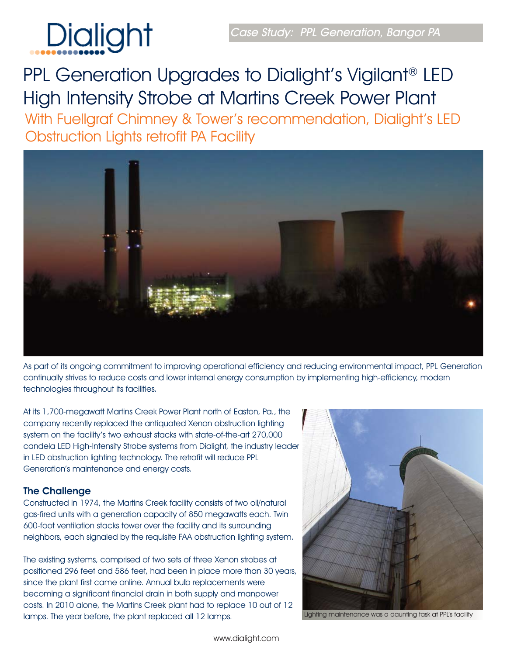

PPL Generation Upgrades to Dialight's Vigilant® LED High Intensity Strobe at Martins Creek Power Plant With Fuellgraf Chimney & Tower's recommendation, Dialight's LED Obstruction Lights retrofit PA Facility

As part of its ongoing commitment to improving operational efficiency and reducing environmental impact, PPL Generation continually strives to reduce costs and lower internal energy consumption by implementing high-efficiency, modern technologies throughout its facilities.

At its 1,700-megawatt Martins Creek Power Plant north of Easton, Pa., the company recently replaced the antiquated Xenon obstruction lighting system on the facility's two exhaust stacks with state-of-the-art 270,000 candela LED High-Intensity Strobe systems from Dialight, the industry leader in LED obstruction lighting technology. The retrofit will reduce PPL Generation's maintenance and energy costs.

Constructed in 1974, the Martins Creek facility consists of two oil/natural gas-fired units with a generation capacity of 850 megawatts each. Twin 600-foot ventilation stacks tower over the facility and its surrounding neighbors, each signaled by the requisite FAA obstruction lighting system.

The existing systems, comprised of two sets of three Xenon strobes at positioned 296 feet and 586 feet, had been in place more than 30 years, since the plant first came online. Annual bulb replacements were becoming a significant financial drain in both supply and manpower costs. In 2010 alone, the Martins Creek plant had to replace 10 out of 12 lamps. The year before, the plant replaced all 12 lamps.



Lighting maintenance was a daunting task at PPL's facility